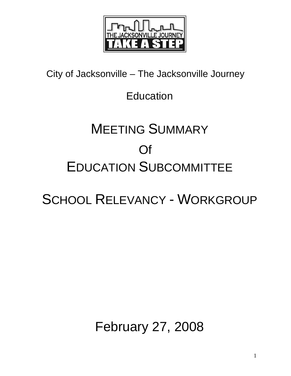

City of Jacksonville – The Jacksonville Journey

## Education

# MEETING SUMMARY Of EDUCATION SUBCOMMITTEE

## SCHOOL RELEVANCY - WORKGROUP

## February 27, 2008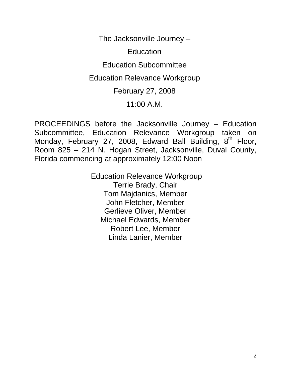The Jacksonville Journey –

**Education** 

Education Subcommittee

Education Relevance Workgroup

February 27, 2008

## 11:00 A.M.

PROCEEDINGS before the Jacksonville Journey – Education Subcommittee, Education Relevance Workgroup taken on Monday, February 27, 2008, Edward Ball Building, 8<sup>th</sup> Floor, Room 825 – 214 N. Hogan Street, Jacksonville, Duval County, Florida commencing at approximately 12:00 Noon

> Education Relevance Workgroup Terrie Brady, Chair Tom Majdanics, Member John Fletcher, Member Gerlieve Oliver, Member Michael Edwards, Member Robert Lee, Member Linda Lanier, Member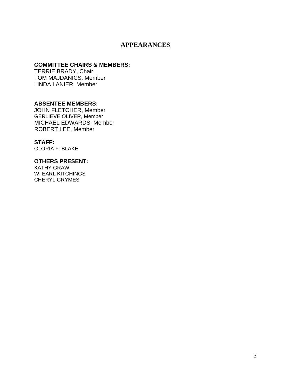## **APPEARANCES**

#### **COMMITTEE CHAIRS & MEMBERS:**

TERRIE BRADY, Chair TOM MAJDANICS, Member LINDA LANIER, Member

#### **ABSENTEE MEMBERS:**

JOHN FLETCHER, Member GERLIEVE OLIVER, Member MICHAEL EDWARDS, Member ROBERT LEE, Member

**STAFF:**  GLORIA F. BLAKE

#### **OTHERS PRESENT:**

KATHY GRAW W. EARL KITCHINGS CHERYL GRYMES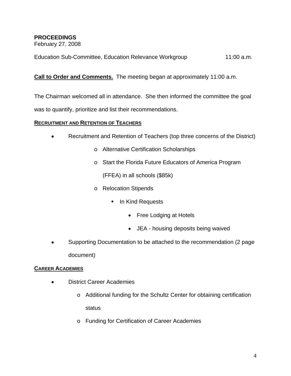## **PROCEEDINGS**

February 27, 2008

Education Sub-Committee, Education Relevance Workgroup 11:00 a.m.

## **Call to Order and Comments.** The meeting began at approximately 11:00 a.m.

The Chairman welcomed all in attendance. She then informed the committee the goal

was to quantify, prioritize and list their recommendations.

## **RECRUITMENT AND RETENTION OF TEACHERS**

- Recruitment and Retention of Teachers (top three concerns of the District)
	- o Alternative Certification Scholarships
	- o Start the Florida Future Educators of America Program

(FFEA) in all schools (\$85k)

- o Relocation Stipends
	- **In Kind Requests** 
		- Free Lodging at Hotels
		- JEA housing deposits being waived
- Supporting Documentation to be attached to the recommendation (2 page document)

### **CAREER ACADEMIES**

- District Career Academies
	- o Additional funding for the Schultz Center for obtaining certification status
	- o Funding for Certification of Career Academies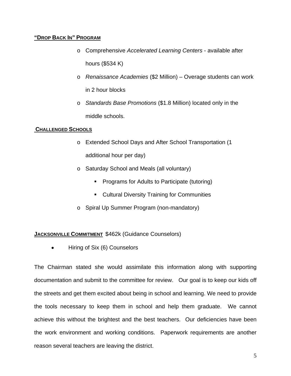#### **"DROP BACK IN" PROGRAM**

- o Comprehensive *Accelerated Learning Centers* available after hours (\$534 K)
- o *Renaissance Academies* (\$2 Million) Overage students can work in 2 hour blocks
- o *Standards Base Promotions* (\$1.8 Million) located only in the middle schools.

#### **CHALLENGED SCHOOLS**

- o Extended School Days and After School Transportation (1 additional hour per day)
- o Saturday School and Meals (all voluntary)
	- **Programs for Adults to Participate (tutoring)**
	- **Cultural Diversity Training for Communities**
- o Spiral Up Summer Program (non-mandatory)

### **JACKSONVILLE COMMITMENT** \$462k (Guidance Counselors)

• Hiring of Six (6) Counselors

The Chairman stated she would assimilate this information along with supporting documentation and submit to the committee for review. Our goal is to keep our kids off the streets and get them excited about being in school and learning. We need to provide the tools necessary to keep them in school and help them graduate. We cannot achieve this without the brightest and the best teachers. Our deficiencies have been the work environment and working conditions. Paperwork requirements are another reason several teachers are leaving the district.